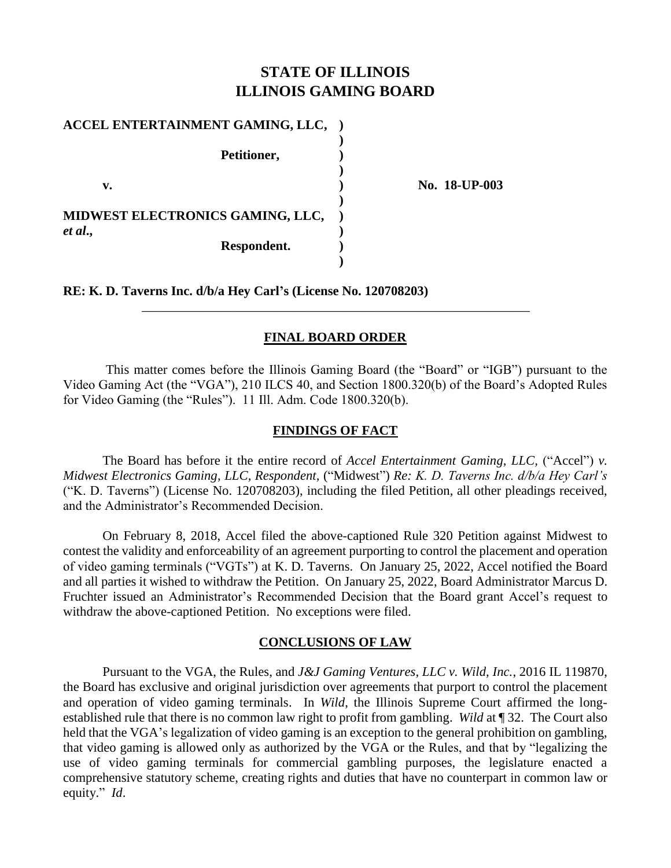## **STATE OF ILLINOIS ILLINOIS GAMING BOARD**

| ACCEL ENTERTAINMENT GAMING, LLC, |  |
|----------------------------------|--|
| Petitioner,                      |  |
| v.                               |  |
| MIDWEST ELECTRONICS GAMING, LLC, |  |
| et al.,<br>Respondent.           |  |
|                                  |  |

**v. ) No. 18-UP-003** 

**RE: K. D. Taverns Inc. d/b/a Hey Carl's (License No. 120708203)**

## **FINAL BOARD ORDER**

\_\_\_\_\_\_\_\_\_\_\_\_\_\_\_\_\_\_\_\_\_\_\_\_\_\_\_\_\_\_\_\_\_\_\_\_\_\_\_\_\_\_\_\_\_\_\_\_\_\_\_\_\_\_\_\_\_\_\_

This matter comes before the Illinois Gaming Board (the "Board" or "IGB") pursuant to the Video Gaming Act (the "VGA"), 210 ILCS 40, and Section 1800.320(b) of the Board's Adopted Rules for Video Gaming (the "Rules"). 11 Ill. Adm. Code 1800.320(b).

## **FINDINGS OF FACT**

The Board has before it the entire record of *Accel Entertainment Gaming, LLC,* ("Accel") *v. Midwest Electronics Gaming, LLC, Respondent,* ("Midwest") *Re: K. D. Taverns Inc. d/b/a Hey Carl's* ("K. D. Taverns") (License No. 120708203), including the filed Petition, all other pleadings received, and the Administrator's Recommended Decision.

On February 8, 2018, Accel filed the above-captioned Rule 320 Petition against Midwest to contest the validity and enforceability of an agreement purporting to control the placement and operation of video gaming terminals ("VGTs") at K. D. Taverns. On January 25, 2022, Accel notified the Board and all parties it wished to withdraw the Petition. On January 25, 2022, Board Administrator Marcus D. Fruchter issued an Administrator's Recommended Decision that the Board grant Accel's request to withdraw the above-captioned Petition. No exceptions were filed.

### **CONCLUSIONS OF LAW**

Pursuant to the VGA, the Rules, and *J&J Gaming Ventures, LLC v. Wild, Inc.*, 2016 IL 119870, the Board has exclusive and original jurisdiction over agreements that purport to control the placement and operation of video gaming terminals. In *Wild*, the Illinois Supreme Court affirmed the longestablished rule that there is no common law right to profit from gambling. *Wild* at ¶ 32. The Court also held that the VGA's legalization of video gaming is an exception to the general prohibition on gambling, that video gaming is allowed only as authorized by the VGA or the Rules, and that by "legalizing the use of video gaming terminals for commercial gambling purposes, the legislature enacted a comprehensive statutory scheme, creating rights and duties that have no counterpart in common law or equity." *Id*.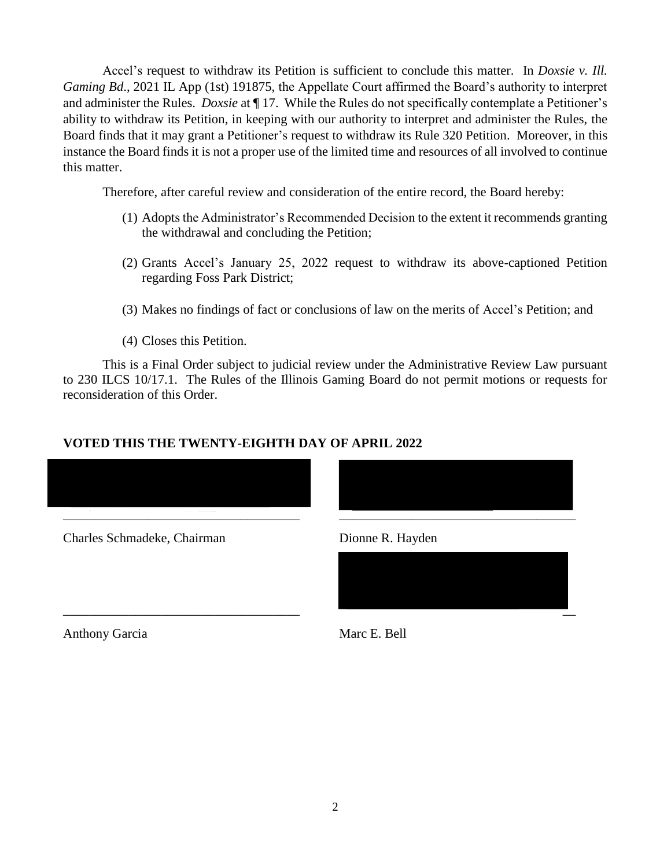Accel's request to withdraw its Petition is sufficient to conclude this matter. In *Doxsie v. Ill. Gaming Bd*., 2021 IL App (1st) 191875, the Appellate Court affirmed the Board's authority to interpret and administer the Rules. *Doxsie* at ¶ 17. While the Rules do not specifically contemplate a Petitioner's ability to withdraw its Petition, in keeping with our authority to interpret and administer the Rules, the Board finds that it may grant a Petitioner's request to withdraw its Rule 320 Petition. Moreover, in this instance the Board finds it is not a proper use of the limited time and resources of all involved to continue this matter.

Therefore, after careful review and consideration of the entire record, the Board hereby:

- (1) Adopts the Administrator's Recommended Decision to the extent it recommends granting the withdrawal and concluding the Petition;
- (2) Grants Accel's January 25, 2022 request to withdraw its above-captioned Petition regarding Foss Park District;
- (3) Makes no findings of fact or conclusions of law on the merits of Accel's Petition; and
- (4) Closes this Petition.

This is a Final Order subject to judicial review under the Administrative Review Law pursuant to 230 ILCS 10/17.1. The Rules of the Illinois Gaming Board do not permit motions or requests for reconsideration of this Order.

## **VOTED THIS THE TWENTY-EIGHTH DAY OF APRIL 2022**



Charles Schmadeke, Chairman Dionne R. Hayden

Anthony Garcia Marc E. Bell

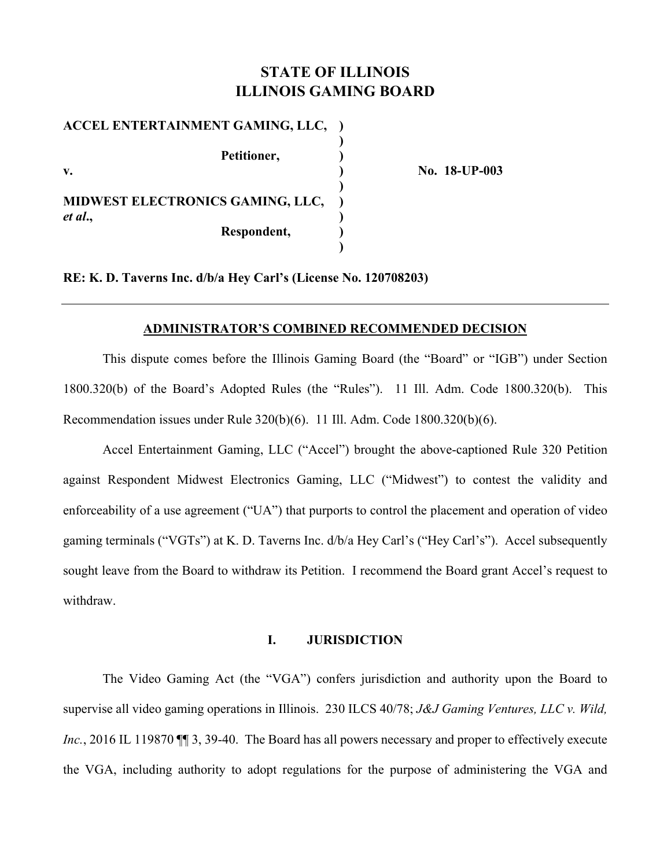# **STATE OF ILLINOIS ILLINOIS GAMING BOARD**

| ACCEL ENTERTAINMENT GAMING, LLC, |  |
|----------------------------------|--|
|                                  |  |
| Petitioner,                      |  |
| $\mathbf{v}$ .                   |  |
|                                  |  |
| MIDWEST ELECTRONICS GAMING, LLC, |  |
| et al.,                          |  |
| Respondent,                      |  |
|                                  |  |

**v. ) No. 18-UP-003** 

**RE: K. D. Taverns Inc. d/b/a Hey Carl's (License No. 120708203)** 

#### **ADMINISTRATOR'S COMBINED RECOMMENDED DECISION**

This dispute comes before the Illinois Gaming Board (the "Board" or "IGB") under Section 1800.320(b) of the Board's Adopted Rules (the "Rules"). 11 Ill. Adm. Code 1800.320(b). This Recommendation issues under Rule 320(b)(6). 11 Ill. Adm. Code 1800.320(b)(6).

Accel Entertainment Gaming, LLC ("Accel") brought the above-captioned Rule 320 Petition against Respondent Midwest Electronics Gaming, LLC ("Midwest") to contest the validity and enforceability of a use agreement ("UA") that purports to control the placement and operation of video gaming terminals ("VGTs") at K. D. Taverns Inc. d/b/a Hey Carl's ("Hey Carl's"). Accel subsequently sought leave from the Board to withdraw its Petition. I recommend the Board grant Accel's request to withdraw.

#### **I. JURISDICTION**

The Video Gaming Act (the "VGA") confers jurisdiction and authority upon the Board to supervise all video gaming operations in Illinois. 230 ILCS 40/78; *J&J Gaming Ventures, LLC v. Wild, Inc.*, 2016 IL 119870  $\P$  3, 39-40. The Board has all powers necessary and proper to effectively execute the VGA, including authority to adopt regulations for the purpose of administering the VGA and